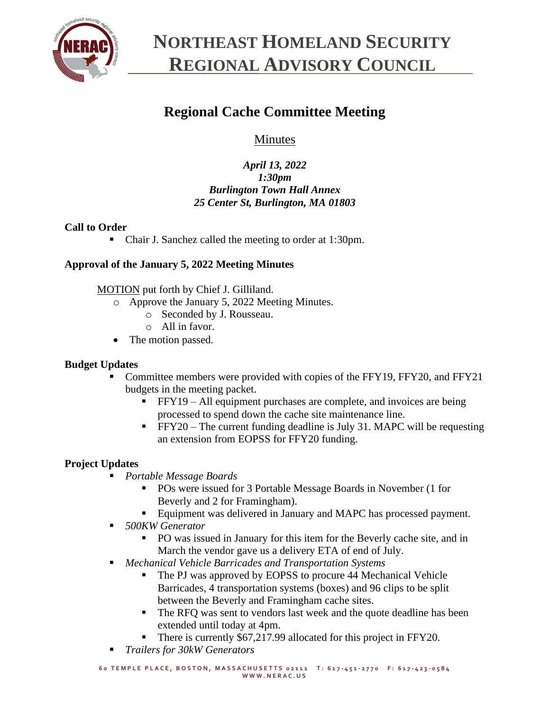

### **Regional Cache Committee Meeting**

### Minutes

### *April 13, 2022 1:30pm Burlington Town Hall Annex 25 Center St, Burlington, MA 01803*

### **Call to Order**

■ Chair J. Sanchez called the meeting to order at 1:30pm.

### **Approval of the January 5, 2022 Meeting Minutes**

MOTION put forth by Chief J. Gilliland.

- o Approve the January 5, 2022 Meeting Minutes.
	- o Seconded by J. Rousseau.
	- o All in favor.
- The motion passed.

### **Budget Updates**

- Committee members were provided with copies of the FFY19, FFY20, and FFY21 budgets in the meeting packet.
	- $\blacksquare$  FFY19 All equipment purchases are complete, and invoices are being processed to spend down the cache site maintenance line.
	- $\blacktriangleright$  FFY20 The current funding deadline is July 31. MAPC will be requesting an extension from EOPSS for FFY20 funding.

### **Project Updates**

- *Portable Message Boards*
	- POs were issued for 3 Portable Message Boards in November (1 for Beverly and 2 for Framingham).
	- Equipment was delivered in January and MAPC has processed payment.
- *500KW Generator*
	- PO was issued in January for this item for the Beverly cache site, and in March the vendor gave us a delivery ETA of end of July.
- *Mechanical Vehicle Barricades and Transportation Systems*
	- The PJ was approved by EOPSS to procure 44 Mechanical Vehicle Barricades, 4 transportation systems (boxes) and 96 clips to be split between the Beverly and Framingham cache sites.
	- The RFQ was sent to vendors last week and the quote deadline has been extended until today at 4pm.
	- There is currently \$67,217.99 allocated for this project in FFY20.
- *Trailers for 30kW Generators*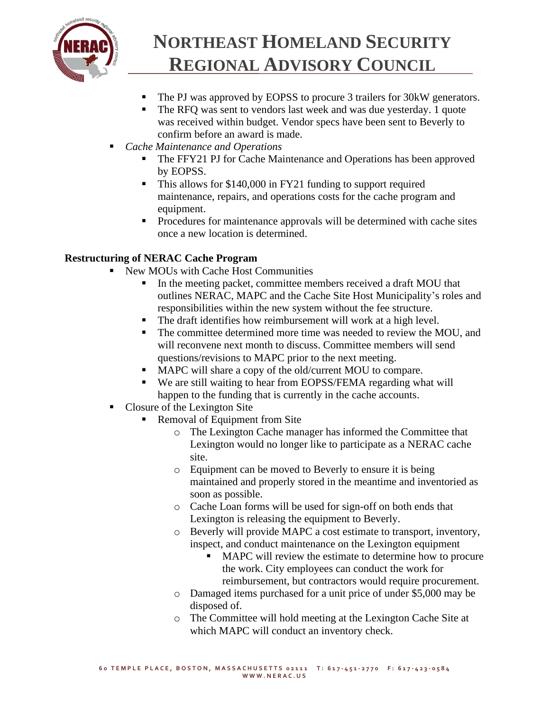

- The PJ was approved by EOPSS to procure 3 trailers for 30kW generators.
- The RFQ was sent to vendors last week and was due yesterday. 1 quote was received within budget. Vendor specs have been sent to Beverly to confirm before an award is made.
- *Cache Maintenance and Operations*
	- The FFY21 PJ for Cache Maintenance and Operations has been approved by EOPSS.
	- This allows for \$140,000 in FY21 funding to support required maintenance, repairs, and operations costs for the cache program and equipment.
	- Procedures for maintenance approvals will be determined with cache sites once a new location is determined.

### **Restructuring of NERAC Cache Program**

- New MOUs with Cache Host Communities
	- In the meeting packet, committee members received a draft MOU that outlines NERAC, MAPC and the Cache Site Host Municipality's roles and responsibilities within the new system without the fee structure.
	- **•** The draft identifies how reimbursement will work at a high level.
	- The committee determined more time was needed to review the MOU, and will reconvene next month to discuss. Committee members will send questions/revisions to MAPC prior to the next meeting.
	- MAPC will share a copy of the old/current MOU to compare.
	- We are still waiting to hear from EOPSS/FEMA regarding what will happen to the funding that is currently in the cache accounts.
- Closure of the Lexington Site
	- Removal of Equipment from Site
		- o The Lexington Cache manager has informed the Committee that Lexington would no longer like to participate as a NERAC cache site.
		- o Equipment can be moved to Beverly to ensure it is being maintained and properly stored in the meantime and inventoried as soon as possible.
		- o Cache Loan forms will be used for sign-off on both ends that Lexington is releasing the equipment to Beverly.
		- o Beverly will provide MAPC a cost estimate to transport, inventory, inspect, and conduct maintenance on the Lexington equipment
			- MAPC will review the estimate to determine how to procure the work. City employees can conduct the work for reimbursement, but contractors would require procurement.
		- o Damaged items purchased for a unit price of under \$5,000 may be disposed of.
		- o The Committee will hold meeting at the Lexington Cache Site at which MAPC will conduct an inventory check.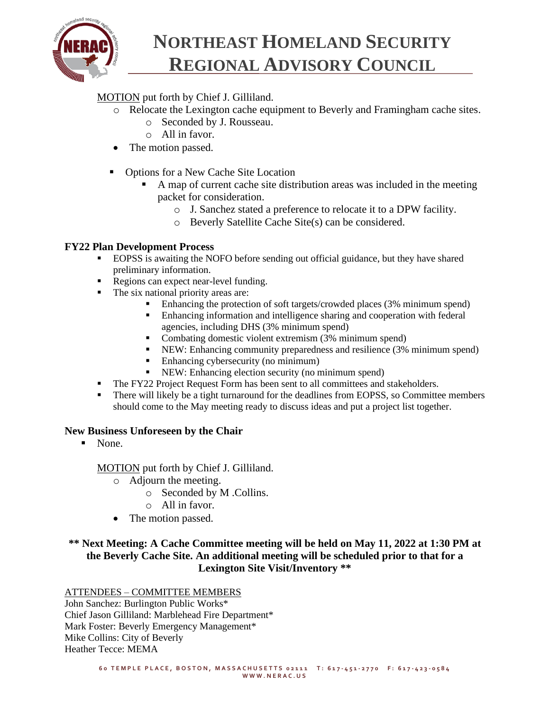

### MOTION put forth by Chief J. Gilliland.

- o Relocate the Lexington cache equipment to Beverly and Framingham cache sites.
	- o Seconded by J. Rousseau.
	- o All in favor.
- The motion passed.
- Options for a New Cache Site Location
	- A map of current cache site distribution areas was included in the meeting packet for consideration.
		- o J. Sanchez stated a preference to relocate it to a DPW facility.
		- o Beverly Satellite Cache Site(s) can be considered.

### **FY22 Plan Development Process**

- EOPSS is awaiting the NOFO before sending out official guidance, but they have shared preliminary information.
- Regions can expect near-level funding.
- The six national priority areas are:
	- Enhancing the protection of soft targets/crowded places (3% minimum spend)
	- **Enhancing information and intelligence sharing and cooperation with federal** agencies, including DHS (3% minimum spend)
	- Combating domestic violent extremism (3% minimum spend)
	- NEW: Enhancing community preparedness and resilience (3% minimum spend)
	- Enhancing cybersecurity (no minimum)
	- NEW: Enhancing election security (no minimum spend)
- **•** The FY22 Project Request Form has been sent to all committees and stakeholders.
- **•** There will likely be a tight turnaround for the deadlines from EOPSS, so Committee members should come to the May meeting ready to discuss ideas and put a project list together.

### **New Business Unforeseen by the Chair**

▪ None.

MOTION put forth by Chief J. Gilliland.

- $\overline{\circ}$  Adjourn the meeting.
	- o Seconded by M .Collins.
	- o All in favor.
- The motion passed.

### **\*\* Next Meeting: A Cache Committee meeting will be held on May 11, 2022 at 1:30 PM at the Beverly Cache Site. An additional meeting will be scheduled prior to that for a Lexington Site Visit/Inventory \*\***

#### ATTENDEES – COMMITTEE MEMBERS

John Sanchez: Burlington Public Works\* Chief Jason Gilliland: Marblehead Fire Department\* Mark Foster: Beverly Emergency Management\* Mike Collins: City of Beverly Heather Tecce: MEMA